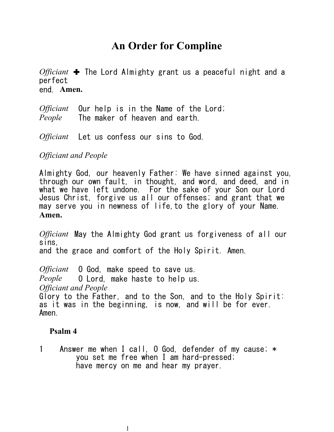# **An Order for Compline**

*Officiant* ✚ The Lord Almighty grant us a peaceful night and a perfect end. **Amen.**

*Officiant* Our help is in the Name of the Lord; *People* The maker of heaven and earth.

*Officiant* Let us confess our sins to God.

*Officiant and People*

Almighty God, our heavenly Father: We have sinned against you, through our own fault, in thought, and word, and deed, and in what we have left undone. For the sake of your Son our Lord Jesus Christ, forgive us all our offenses; and grant that we may serve you in newness of life,to the glory of your Name. **Amen.**

*Officiant* May the Almighty God grant us forgiveness of all our sins, and the grace and comfort of the Holy Spirit. Amen.

*Officiant* O God, make speed to save us. *People* O Lord, make haste to help us. *Officiant and People* Glory to the Father, and to the Son, and to the Holy Spirit: as it was in the beginning, is now, and will be for ever. Amen.

#### **Psalm 4**

1 Answer me when I call, O God, defender of my cause; \* you set me free when I am hard-pressed; have mercy on me and hear my prayer.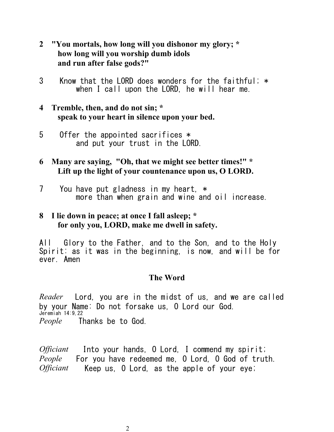- **2 "You mortals, how long will you dishonor my glory; \* how long will you worship dumb idols and run after false gods?"**
- 3 Know that the LORD does wonders for the faithful; \* when I call upon the LORD, he will hear me.
- **4 Tremble, then, and do not sin; \* speak to your heart in silence upon your bed.**
- 5 Offer the appointed sacrifices \* and put your trust in the LORD.
- **6 Many are saying, "Oh, that we might see better times!" \* Lift up the light of your countenance upon us, O LORD.**
- 7 You have put gladness in my heart, \* more than when grain and wine and oil increase.

## **8 I lie down in peace; at once I fall asleep; \* for only you, LORD, make me dwell in safety.**

All Glory to the Father, and to the Son, and to the Holy Spirit: as it was in the beginning, is now, and will be for ever. Amen

## **The Word**

*Reader* Lord, you are in the midst of us, and we are called by your Name: Do not forsake us, O Lord our God. Jeremiah 14:9,22 *People* Thanks be to God.

*Officiant* Into your hands, O Lord, I commend my spirit; *People* For you have redeemed me, O Lord, O God of truth. *Officiant* Keep us, O Lord, as the apple of your eye;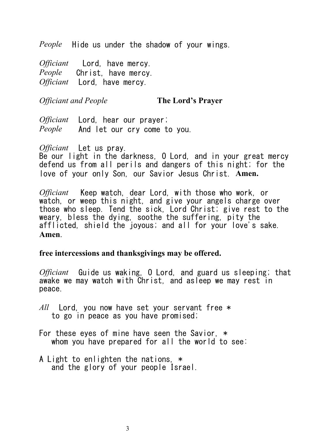*People* Hide us under the shadow of your wings.

*Officiant* Lord, have mercy. *People* Christ, have mercy. *Officiant* Lord, have mercy.

#### *Officiant and People* **The Lord's Prayer**

*Officiant* Lord, hear our prayer; *People* And let our cry come to you.

*Officiant* Let us pray.

Be our light in the darkness, O Lord, and in your great mercy defend us from all perils and dangers of this night; for the love of your only Son, our Savior Jesus Christ. **Amen.**

*Officiant* Keep watch, dear Lord, with those who work, or watch, or weep this night, and give your angels charge over those who sleep. Tend the sick, Lord Christ; give rest to the weary, bless the dying, soothe the suffering, pity the afflicted, shield the joyous; and all for your love's sake. **Amen**.

### **free intercessions and thanksgivings may be offered.**

*Officiant* Guide us waking, O Lord, and guard us sleeping; that awake we may watch with Christ, and asleep we may rest in peace.

- *All* Lord, you now have set your servant free \* to go in peace as you have promised;
- For these eyes of mine have seen the Savior, \* whom you have prepared for all the world to see:
- A Light to enlighten the nations, \* and the glory of your people Israel.